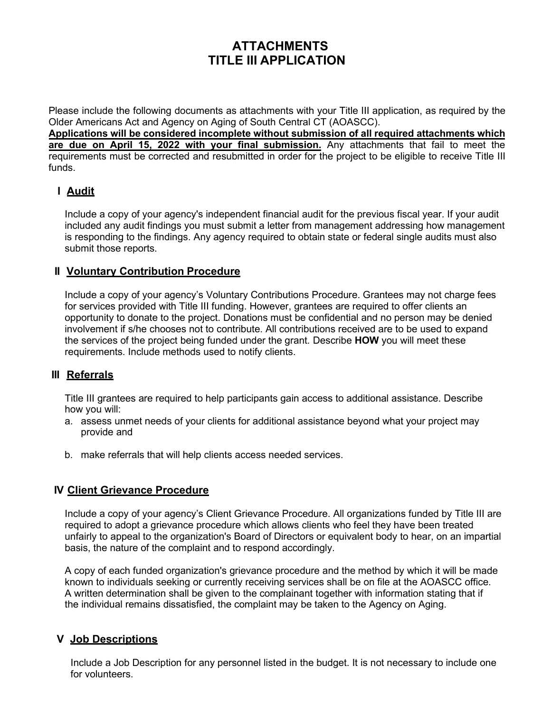# **ATTACHMENTS TITLE III APPLICATION**

Please include the following documents as attachments with your Title III application, as required by the Older Americans Act and Agency on Aging of South Central CT (AOASCC).

**Applications will be considered incomplete without submission of all required attachments which are due on April 15, 2022 with your final submission.** Any attachments that fail to meet the requirements must be corrected and resubmitted in order for the project to be eligible to receive Title III funds.

### **I Audit**

Include a copy of your agency's independent financial audit for the previous fiscal year. If your audit included any audit findings you must submit a letter from management addressing how management is responding to the findings. Any agency required to obtain state or federal single audits must also submit those reports.

#### **II Voluntary Contribution Procedure**

Include a copy of your agency's Voluntary Contributions Procedure. Grantees may not charge fees for services provided with Title III funding. However, grantees are required to offer clients an opportunity to donate to the project. Donations must be confidential and no person may be denied involvement if s/he chooses not to contribute. All contributions received are to be used to expand the services of the project being funded under the grant*.* Describe **HOW** you will meet these requirements. Include methods used to notify clients.

## **III Referrals**

Title III grantees are required to help participants gain access to additional assistance. Describe how you will:

- a. assess unmet needs of your clients for additional assistance beyond what your project may provide and
- b. make referrals that will help clients access needed services.

#### **IV Client Grievance Procedure**

Include a copy of your agency's Client Grievance Procedure. All organizations funded by Title III are required to adopt a grievance procedure which allows clients who feel they have been treated unfairly to appeal to the organization's Board of Directors or equivalent body to hear, on an impartial basis, the nature of the complaint and to respond accordingly.

A copy of each funded organization's grievance procedure and the method by which it will be made known to individuals seeking or currently receiving services shall be on file at the AOASCC office. A written determination shall be given to the complainant together with information stating that if the individual remains dissatisfied, the complaint may be taken to the Agency on Aging.

#### **V Job Descriptions**

Include a Job Description for any personnel listed in the budget. It is not necessary to include one for volunteers.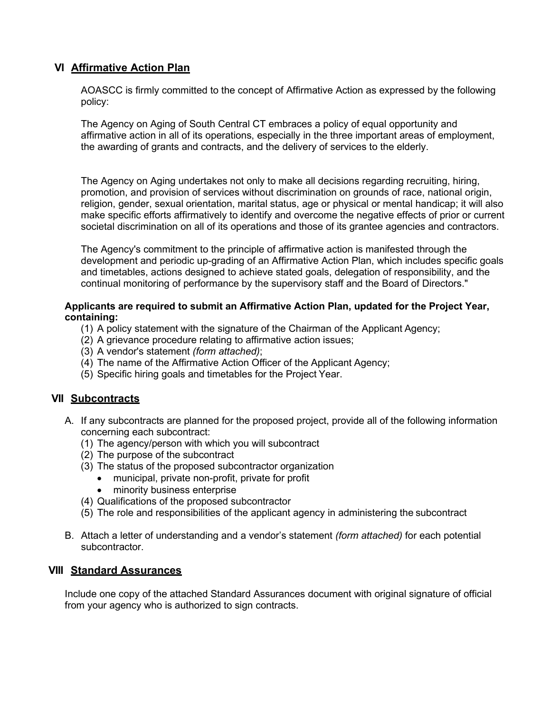#### **VI Affirmative Action Plan**

AOASCC is firmly committed to the concept of Affirmative Action as expressed by the following policy:

The Agency on Aging of South Central CT embraces a policy of equal opportunity and affirmative action in all of its operations, especially in the three important areas of employment, the awarding of grants and contracts, and the delivery of services to the elderly.

The Agency on Aging undertakes not only to make all decisions regarding recruiting, hiring, promotion, and provision of services without discrimination on grounds of race, national origin, religion, gender, sexual orientation, marital status, age or physical or mental handicap; it will also make specific efforts affirmatively to identify and overcome the negative effects of prior or current societal discrimination on all of its operations and those of its grantee agencies and contractors.

The Agency's commitment to the principle of affirmative action is manifested through the development and periodic up-grading of an Affirmative Action Plan, which includes specific goals and timetables, actions designed to achieve stated goals, delegation of responsibility, and the continual monitoring of performance by the supervisory staff and the Board of Directors."

#### **Applicants are required to submit an Affirmative Action Plan, updated for the Project Year, containing:**

- (1) A policy statement with the signature of the Chairman of the Applicant Agency;
- (2) A grievance procedure relating to affirmative action issues;
- (3) A vendor's statement *(form attached)*;
- (4) The name of the Affirmative Action Officer of the Applicant Agency;
- (5) Specific hiring goals and timetables for the Project Year.

#### **VII Subcontracts**

- A. If any subcontracts are planned for the proposed project, provide all of the following information concerning each subcontract:
	- (1) The agency/person with which you will subcontract
	- (2) The purpose of the subcontract
	- (3) The status of the proposed subcontractor organization
		- municipal, private non-profit, private for profit
		- minority business enterprise
	- (4) Qualifications of the proposed subcontractor
	- (5) The role and responsibilities of the applicant agency in administering the subcontract
- B. Attach a letter of understanding and a vendor's statement *(form attached)* for each potential subcontractor.

#### **VIII Standard Assurances**

Include one copy of the attached Standard Assurances document with original signature of official from your agency who is authorized to sign contracts.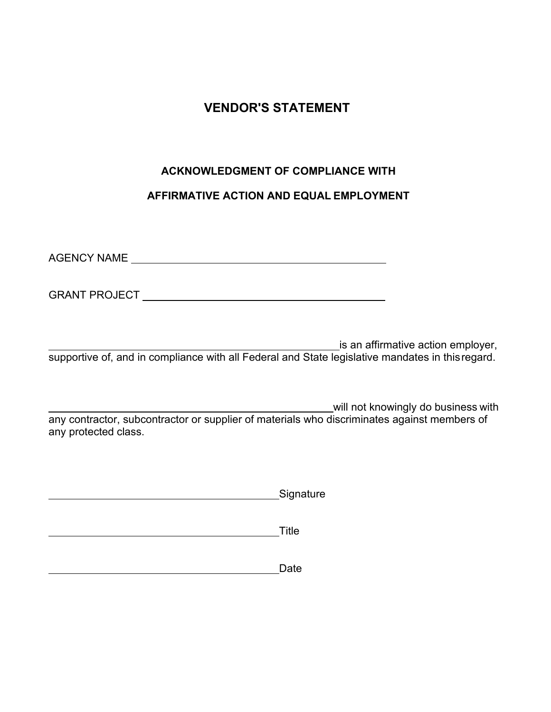# **VENDOR'S STATEMENT**

## **ACKNOWLEDGMENT OF COMPLIANCE WITH**

## **AFFIRMATIVE ACTION AND EQUAL EMPLOYMENT**

AGENCY NAME

GRANT PROJECT

is an affirmative action employer, supportive of, and in compliance with all Federal and State legislative mandates in thisregard.

will not knowingly do business with any contractor, subcontractor or supplier of materials who discriminates against members of any protected class.

**Signature** Signature

**Title The Community of the Community of Title** 

**Date** Date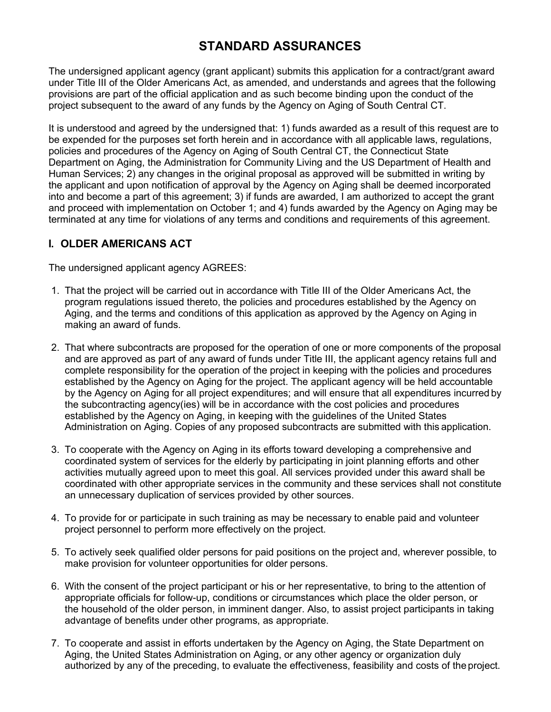# **STANDARD ASSURANCES**

The undersigned applicant agency (grant applicant) submits this application for a contract/grant award under Title III of the Older Americans Act, as amended, and understands and agrees that the following provisions are part of the official application and as such become binding upon the conduct of the project subsequent to the award of any funds by the Agency on Aging of South Central CT.

It is understood and agreed by the undersigned that: 1) funds awarded as a result of this request are to be expended for the purposes set forth herein and in accordance with all applicable laws, regulations, policies and procedures of the Agency on Aging of South Central CT, the Connecticut State Department on Aging, the Administration for Community Living and the US Department of Health and Human Services; 2) any changes in the original proposal as approved will be submitted in writing by the applicant and upon notification of approval by the Agency on Aging shall be deemed incorporated into and become a part of this agreement; 3) if funds are awarded, I am authorized to accept the grant and proceed with implementation on October 1; and 4) funds awarded by the Agency on Aging may be terminated at any time for violations of any terms and conditions and requirements of this agreement.

### **I. OLDER AMERICANS ACT**

The undersigned applicant agency AGREES:

- 1. That the project will be carried out in accordance with Title III of the Older Americans Act, the program regulations issued thereto, the policies and procedures established by the Agency on Aging, and the terms and conditions of this application as approved by the Agency on Aging in making an award of funds.
- 2. That where subcontracts are proposed for the operation of one or more components of the proposal and are approved as part of any award of funds under Title III, the applicant agency retains full and complete responsibility for the operation of the project in keeping with the policies and procedures established by the Agency on Aging for the project. The applicant agency will be held accountable by the Agency on Aging for all project expenditures; and will ensure that all expenditures incurred by the subcontracting agency(ies) will be in accordance with the cost policies and procedures established by the Agency on Aging, in keeping with the guidelines of the United States Administration on Aging. Copies of any proposed subcontracts are submitted with this application.
- 3. To cooperate with the Agency on Aging in its efforts toward developing a comprehensive and coordinated system of services for the elderly by participating in joint planning efforts and other activities mutually agreed upon to meet this goal. All services provided under this award shall be coordinated with other appropriate services in the community and these services shall not constitute an unnecessary duplication of services provided by other sources.
- 4. To provide for or participate in such training as may be necessary to enable paid and volunteer project personnel to perform more effectively on the project.
- 5. To actively seek qualified older persons for paid positions on the project and, wherever possible, to make provision for volunteer opportunities for older persons.
- 6. With the consent of the project participant or his or her representative, to bring to the attention of appropriate officials for follow-up, conditions or circumstances which place the older person, or the household of the older person, in imminent danger. Also, to assist project participants in taking advantage of benefits under other programs, as appropriate.
- 7. To cooperate and assist in efforts undertaken by the Agency on Aging, the State Department on Aging, the United States Administration on Aging, or any other agency or organization duly authorized by any of the preceding, to evaluate the effectiveness, feasibility and costs of the project.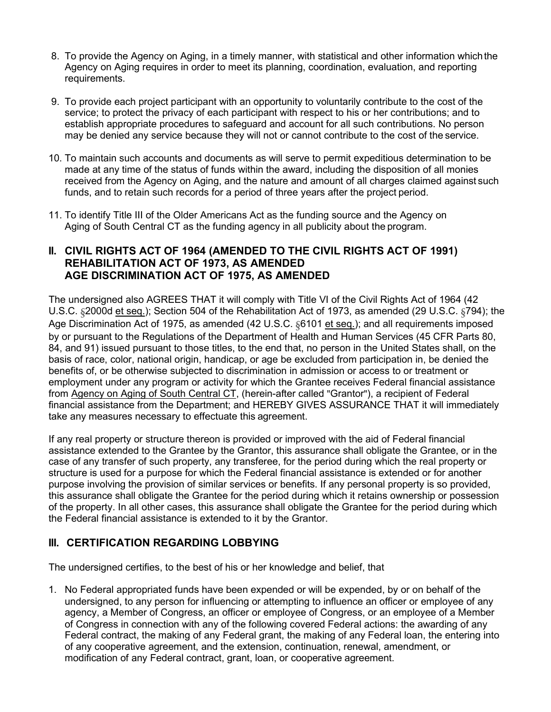- 8. To provide the Agency on Aging, in a timely manner, with statistical and other information whichthe Agency on Aging requires in order to meet its planning, coordination, evaluation, and reporting requirements.
- 9. To provide each project participant with an opportunity to voluntarily contribute to the cost of the service; to protect the privacy of each participant with respect to his or her contributions; and to establish appropriate procedures to safeguard and account for all such contributions. No person may be denied any service because they will not or cannot contribute to the cost of the service.
- 10. To maintain such accounts and documents as will serve to permit expeditious determination to be made at any time of the status of funds within the award, including the disposition of all monies received from the Agency on Aging, and the nature and amount of all charges claimed against such funds, and to retain such records for a period of three years after the project period.
- 11. To identify Title III of the Older Americans Act as the funding source and the Agency on Aging of South Central CT as the funding agency in all publicity about the program.

#### **II. CIVIL RIGHTS ACT OF 1964 (AMENDED TO THE CIVIL RIGHTS ACT OF 1991) REHABILITATION ACT OF 1973, AS AMENDED AGE DISCRIMINATION ACT OF 1975, AS AMENDED**

The undersigned also AGREES THAT it will comply with Title VI of the Civil Rights Act of 1964 (42 U.S.C. §2000d et seq.); Section 504 of the Rehabilitation Act of 1973, as amended (29 U.S.C. §794); the Age Discrimination Act of 1975, as amended (42 U.S.C. §6101 et seq.); and all requirements imposed by or pursuant to the Regulations of the Department of Health and Human Services (45 CFR Parts 80, 84, and 91) issued pursuant to those titles, to the end that, no person in the United States shall, on the basis of race, color, national origin, handicap, or age be excluded from participation in, be denied the benefits of, or be otherwise subjected to discrimination in admission or access to or treatment or employment under any program or activity for which the Grantee receives Federal financial assistance from Agency on Aging of South Central CT, (herein-after called "Grantor"), a recipient of Federal financial assistance from the Department; and HEREBY GIVES ASSURANCE THAT it will immediately take any measures necessary to effectuate this agreement.

If any real property or structure thereon is provided or improved with the aid of Federal financial assistance extended to the Grantee by the Grantor, this assurance shall obligate the Grantee, or in the case of any transfer of such property, any transferee, for the period during which the real property or structure is used for a purpose for which the Federal financial assistance is extended or for another purpose involving the provision of similar services or benefits. If any personal property is so provided, this assurance shall obligate the Grantee for the period during which it retains ownership or possession of the property. In all other cases, this assurance shall obligate the Grantee for the period during which the Federal financial assistance is extended to it by the Grantor.

## **III. CERTIFICATION REGARDING LOBBYING**

The undersigned certifies, to the best of his or her knowledge and belief, that

1. No Federal appropriated funds have been expended or will be expended, by or on behalf of the undersigned, to any person for influencing or attempting to influence an officer or employee of any agency, a Member of Congress, an officer or employee of Congress, or an employee of a Member of Congress in connection with any of the following covered Federal actions: the awarding of any Federal contract, the making of any Federal grant, the making of any Federal loan, the entering into of any cooperative agreement, and the extension, continuation, renewal, amendment, or modification of any Federal contract, grant, loan, or cooperative agreement.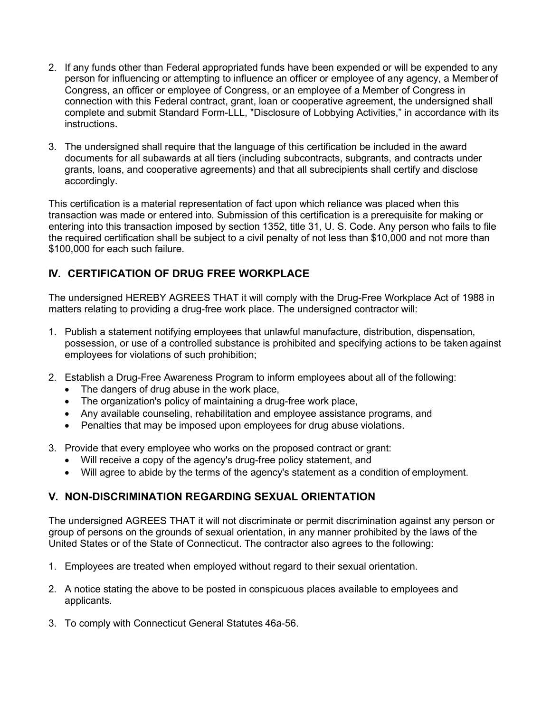- 2. If any funds other than Federal appropriated funds have been expended or will be expended to any person for influencing or attempting to influence an officer or employee of any agency, a Member of Congress, an officer or employee of Congress, or an employee of a Member of Congress in connection with this Federal contract, grant, loan or cooperative agreement, the undersigned shall complete and submit Standard Form-LLL, "Disclosure of Lobbying Activities," in accordance with its instructions.
- 3. The undersigned shall require that the language of this certification be included in the award documents for all subawards at all tiers (including subcontracts, subgrants, and contracts under grants, loans, and cooperative agreements) and that all subrecipients shall certify and disclose accordingly.

This certification is a material representation of fact upon which reliance was placed when this transaction was made or entered into. Submission of this certification is a prerequisite for making or entering into this transaction imposed by section 1352, title 31, U. S. Code. Any person who fails to file the required certification shall be subject to a civil penalty of not less than \$10,000 and not more than \$100,000 for each such failure.

## **IV. CERTIFICATION OF DRUG FREE WORKPLACE**

The undersigned HEREBY AGREES THAT it will comply with the Drug-Free Workplace Act of 1988 in matters relating to providing a drug-free work place. The undersigned contractor will:

- 1. Publish a statement notifying employees that unlawful manufacture, distribution, dispensation, possession, or use of a controlled substance is prohibited and specifying actions to be taken against employees for violations of such prohibition;
- 2. Establish a Drug-Free Awareness Program to inform employees about all of the following:
	- The dangers of drug abuse in the work place,
	- The organization's policy of maintaining a drug-free work place,
	- Any available counseling, rehabilitation and employee assistance programs, and
	- Penalties that may be imposed upon employees for drug abuse violations.
- 3. Provide that every employee who works on the proposed contract or grant:
	- Will receive a copy of the agency's drug-free policy statement, and
	- Will agree to abide by the terms of the agency's statement as a condition of employment.

## **V. NON-DISCRIMINATION REGARDING SEXUAL ORIENTATION**

The undersigned AGREES THAT it will not discriminate or permit discrimination against any person or group of persons on the grounds of sexual orientation, in any manner prohibited by the laws of the United States or of the State of Connecticut. The contractor also agrees to the following:

- 1. Employees are treated when employed without regard to their sexual orientation.
- 2. A notice stating the above to be posted in conspicuous places available to employees and applicants.
- 3. To comply with Connecticut General Statutes 46a-56.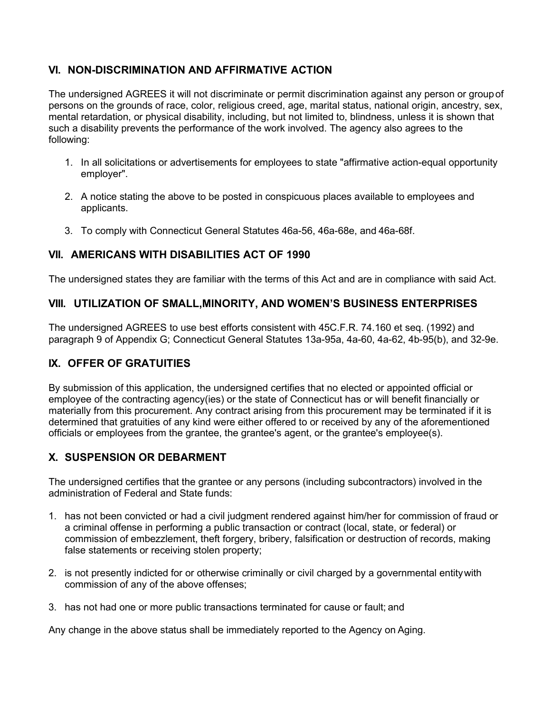## **VI. NON-DISCRIMINATION AND AFFIRMATIVE ACTION**

The undersigned AGREES it will not discriminate or permit discrimination against any person or groupof persons on the grounds of race, color, religious creed, age, marital status, national origin, ancestry, sex, mental retardation, or physical disability, including, but not limited to, blindness, unless it is shown that such a disability prevents the performance of the work involved. The agency also agrees to the following:

- 1. In all solicitations or advertisements for employees to state "affirmative action-equal opportunity employer".
- 2. A notice stating the above to be posted in conspicuous places available to employees and applicants.
- 3. To comply with Connecticut General Statutes 46a-56, 46a-68e, and 46a-68f.

## **VII. AMERICANS WITH DISABILITIES ACT OF 1990**

The undersigned states they are familiar with the terms of this Act and are in compliance with said Act.

### **VIII. UTILIZATION OF SMALL,MINORITY, AND WOMEN'S BUSINESS ENTERPRISES**

The undersigned AGREES to use best efforts consistent with 45C.F.R. 74.160 et seq. (1992) and paragraph 9 of Appendix G; Connecticut General Statutes 13a-95a, 4a-60, 4a-62, 4b-95(b), and 32-9e.

## **IX. OFFER OF GRATUITIES**

By submission of this application, the undersigned certifies that no elected or appointed official or employee of the contracting agency(ies) or the state of Connecticut has or will benefit financially or materially from this procurement. Any contract arising from this procurement may be terminated if it is determined that gratuities of any kind were either offered to or received by any of the aforementioned officials or employees from the grantee, the grantee's agent, or the grantee's employee(s).

## **X. SUSPENSION OR DEBARMENT**

The undersigned certifies that the grantee or any persons (including subcontractors) involved in the administration of Federal and State funds:

- 1. has not been convicted or had a civil judgment rendered against him/her for commission of fraud or a criminal offense in performing a public transaction or contract (local, state, or federal) or commission of embezzlement, theft forgery, bribery, falsification or destruction of records, making false statements or receiving stolen property;
- 2. is not presently indicted for or otherwise criminally or civil charged by a governmental entitywith commission of any of the above offenses;
- 3. has not had one or more public transactions terminated for cause or fault; and

Any change in the above status shall be immediately reported to the Agency on Aging.